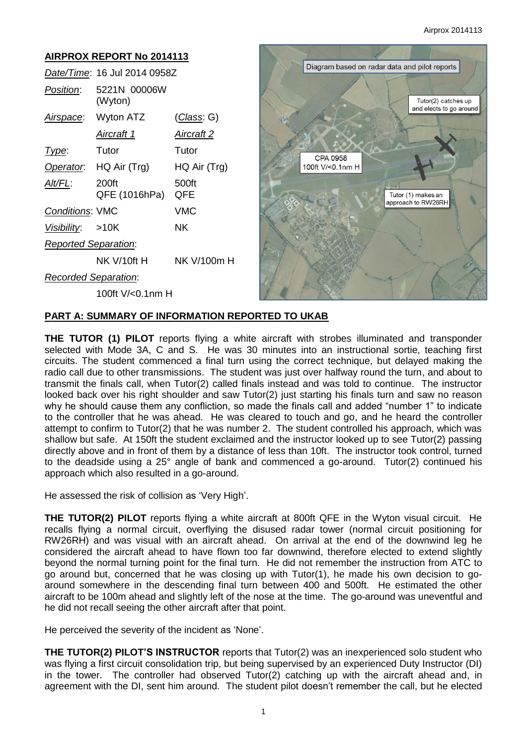### **AIRPROX REPORT No 2014113** Diagram based on radar data and pilot reports *Date/Time*: 16 Jul 2014 0958Z *Position*: 5221N 00006W (Wyton) Tutor(2) catches up and elects to go around *Airspace*: Wyton ATZ (*Class*: G) *Aircraft 1 Aircraft 2 Type*: Tutor Tutor CPA 0958 *Operator*: HQ Air (Trg) HQ Air (Trg) 100ft V/<0.1nm H *Alt/FL*: 200ft 500ft QFE (1016hPa) QFE Tutor (1) makes an approach to RW26RH *Conditions*: VMC VMC *Visibility*: >10K NK *Reported Separation*: NK V/10ft H NK V/100m H *Recorded Separation*: 100ft V/<0.1nm H

## **PART A: SUMMARY OF INFORMATION REPORTED TO UKAB**

**THE TUTOR (1) PILOT** reports flying a white aircraft with strobes illuminated and transponder selected with Mode 3A, C and S. He was 30 minutes into an instructional sortie, teaching first circuits. The student commenced a final turn using the correct technique, but delayed making the radio call due to other transmissions. The student was just over halfway round the turn, and about to transmit the finals call, when Tutor(2) called finals instead and was told to continue. The instructor looked back over his right shoulder and saw Tutor(2) just starting his finals turn and saw no reason why he should cause them any confliction, so made the finals call and added "number 1" to indicate to the controller that he was ahead. He was cleared to touch and go, and he heard the controller attempt to confirm to Tutor(2) that he was number 2. The student controlled his approach, which was shallow but safe. At 150ft the student exclaimed and the instructor looked up to see Tutor(2) passing directly above and in front of them by a distance of less than 10ft. The instructor took control, turned to the deadside using a 25° angle of bank and commenced a go-around. Tutor(2) continued his approach which also resulted in a go-around.

He assessed the risk of collision as 'Very High'.

**THE TUTOR(2) PILOT** reports flying a white aircraft at 800ft QFE in the Wyton visual circuit. He recalls flying a normal circuit, overflying the disused radar tower (normal circuit positioning for RW26RH) and was visual with an aircraft ahead. On arrival at the end of the downwind leg he considered the aircraft ahead to have flown too far downwind, therefore elected to extend slightly beyond the normal turning point for the final turn. He did not remember the instruction from ATC to go around but, concerned that he was closing up with Tutor(1), he made his own decision to goaround somewhere in the descending final turn between 400 and 500ft. He estimated the other aircraft to be 100m ahead and slightly left of the nose at the time. The go-around was uneventful and he did not recall seeing the other aircraft after that point.

He perceived the severity of the incident as 'None'.

**THE TUTOR(2) PILOT'S INSTRUCTOR** reports that Tutor(2) was an inexperienced solo student who was flying a first circuit consolidation trip, but being supervised by an experienced Duty Instructor (DI) in the tower. The controller had observed Tutor(2) catching up with the aircraft ahead and, in agreement with the DI, sent him around. The student pilot doesn't remember the call, but he elected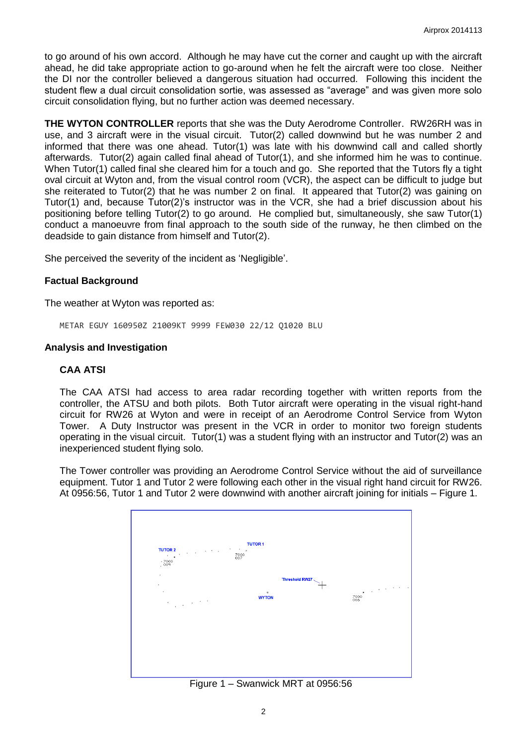to go around of his own accord. Although he may have cut the corner and caught up with the aircraft ahead, he did take appropriate action to go-around when he felt the aircraft were too close. Neither the DI nor the controller believed a dangerous situation had occurred. Following this incident the student flew a dual circuit consolidation sortie, was assessed as "average" and was given more solo circuit consolidation flying, but no further action was deemed necessary.

**THE WYTON CONTROLLER** reports that she was the Duty Aerodrome Controller. RW26RH was in use, and 3 aircraft were in the visual circuit. Tutor(2) called downwind but he was number 2 and informed that there was one ahead. Tutor(1) was late with his downwind call and called shortly afterwards. Tutor(2) again called final ahead of Tutor(1), and she informed him he was to continue. When Tutor(1) called final she cleared him for a touch and go. She reported that the Tutors fly a tight oval circuit at Wyton and, from the visual control room (VCR), the aspect can be difficult to judge but she reiterated to Tutor(2) that he was number 2 on final. It appeared that Tutor(2) was gaining on Tutor(1) and, because Tutor(2)'s instructor was in the VCR, she had a brief discussion about his positioning before telling Tutor(2) to go around. He complied but, simultaneously, she saw Tutor(1) conduct a manoeuvre from final approach to the south side of the runway, he then climbed on the deadside to gain distance from himself and Tutor(2).

She perceived the severity of the incident as 'Negligible'.

### **Factual Background**

The weather at Wyton was reported as:

METAR EGUY 160950Z 21009KT 9999 FEW030 22/12 Q1020 BLU

#### **Analysis and Investigation**

### **CAA ATSI**

The CAA ATSI had access to area radar recording together with written reports from the controller, the ATSU and both pilots. Both Tutor aircraft were operating in the visual right-hand circuit for RW26 at Wyton and were in receipt of an Aerodrome Control Service from Wyton Tower. A Duty Instructor was present in the VCR in order to monitor two foreign students operating in the visual circuit. Tutor(1) was a student flying with an instructor and Tutor(2) was an inexperienced student flying solo.

The Tower controller was providing an Aerodrome Control Service without the aid of surveillance equipment. Tutor 1 and Tutor 2 were following each other in the visual right hand circuit for RW26. At 0956:56, Tutor 1 and Tutor 2 were downwind with another aircraft joining for initials – Figure 1.



Figure 1 – Swanwick MRT at 0956:56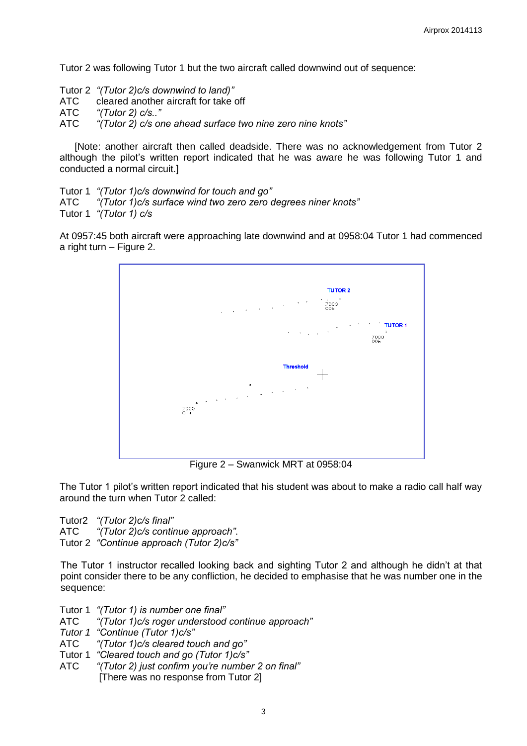Tutor 2 was following Tutor 1 but the two aircraft called downwind out of sequence:

Tutor 2 *"(Tutor 2)c/s downwind to land)"* 

ATC cleared another aircraft for take off

ATC *"(Tutor 2) c/s.."*

ATC *"(Tutor 2) c/s one ahead surface two nine zero nine knots"*

[Note: another aircraft then called deadside. There was no acknowledgement from Tutor 2 although the pilot's written report indicated that he was aware he was following Tutor 1 and conducted a normal circuit.]

Tutor 1 *"(Tutor 1)c/s downwind for touch and go"* ATC *"(Tutor 1)c/s surface wind two zero zero degrees niner knots"* Tutor 1 *"(Tutor 1) c/s*

At 0957:45 both aircraft were approaching late downwind and at 0958:04 Tutor 1 had commenced a right turn – Figure 2.



Figure 2 – Swanwick MRT at 0958:04

The Tutor 1 pilot's written report indicated that his student was about to make a radio call half way around the turn when Tutor 2 called:

Tutor2 *"(Tutor 2)c/s final"* ATC *"(Tutor 2)c/s continue approach"*. Tutor 2 *"Continue approach (Tutor 2)c/s"*

The Tutor 1 instructor recalled looking back and sighting Tutor 2 and although he didn't at that point consider there to be any confliction, he decided to emphasise that he was number one in the sequence:

Tutor 1 *"(Tutor 1) is number one final"*

ATC *"(Tutor 1)c/s roger understood continue approach"*

*Tutor 1 "Continue (Tutor 1)c/s"* 

ATC *"(Tutor 1)c/s cleared touch and go"*

Tutor 1 *"Cleared touch and go (Tutor 1)c/s"*

ATC *"(Tutor 2) just confirm you're number 2 on final"* [There was no response from Tutor 2]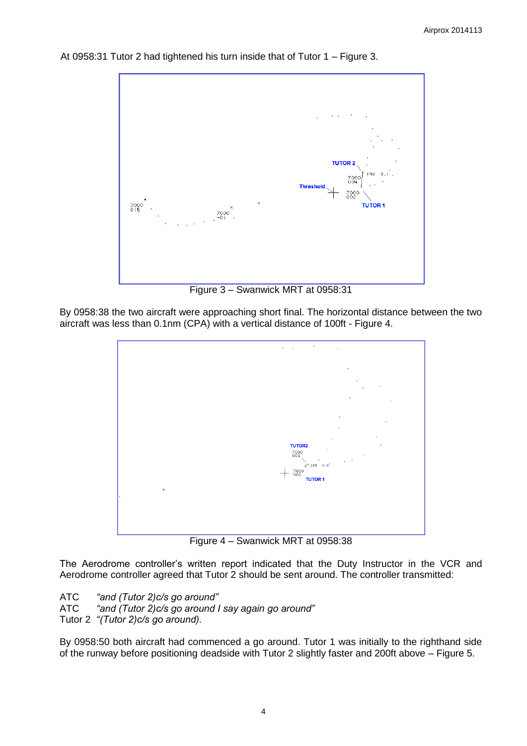

At 0958:31 Tutor 2 had tightened his turn inside that of Tutor 1 – Figure 3.

Figure 3 – Swanwick MRT at 0958:31

By 0958:38 the two aircraft were approaching short final. The horizontal distance between the two aircraft was less than 0.1nm (CPA) with a vertical distance of 100ft - Figure 4.



Figure 4 – Swanwick MRT at 0958:38

The Aerodrome controller's written report indicated that the Duty Instructor in the VCR and Aerodrome controller agreed that Tutor 2 should be sent around. The controller transmitted:

ATC *"and (Tutor 2)c/s go around"* ATC *"and (Tutor 2)c/s go around I say again go around"*

Tutor 2 *"(Tutor 2)c/s go around).*

By 0958:50 both aircraft had commenced a go around. Tutor 1 was initially to the righthand side of the runway before positioning deadside with Tutor 2 slightly faster and 200ft above – Figure 5.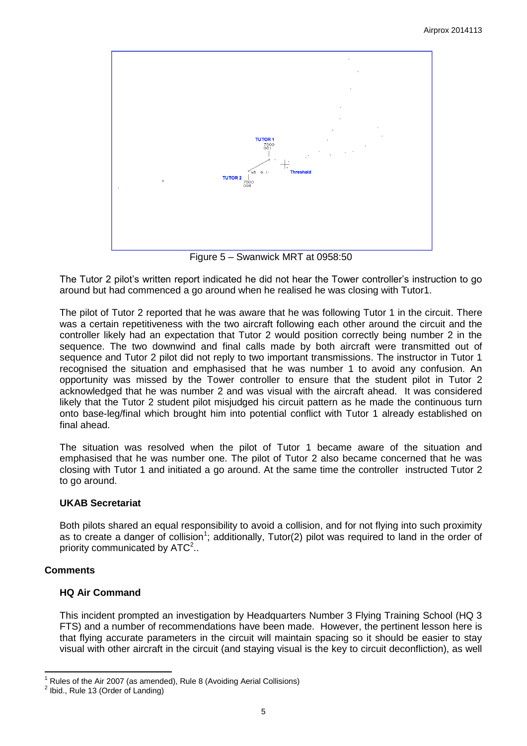

Figure 5 – Swanwick MRT at 0958:50

The Tutor 2 pilot's written report indicated he did not hear the Tower controller's instruction to go around but had commenced a go around when he realised he was closing with Tutor1.

The pilot of Tutor 2 reported that he was aware that he was following Tutor 1 in the circuit. There was a certain repetitiveness with the two aircraft following each other around the circuit and the controller likely had an expectation that Tutor 2 would position correctly being number 2 in the sequence. The two downwind and final calls made by both aircraft were transmitted out of sequence and Tutor 2 pilot did not reply to two important transmissions. The instructor in Tutor 1 recognised the situation and emphasised that he was number 1 to avoid any confusion. An opportunity was missed by the Tower controller to ensure that the student pilot in Tutor 2 acknowledged that he was number 2 and was visual with the aircraft ahead. It was considered likely that the Tutor 2 student pilot misjudged his circuit pattern as he made the continuous turn onto base-leg/final which brought him into potential conflict with Tutor 1 already established on final ahead.

The situation was resolved when the pilot of Tutor 1 became aware of the situation and emphasised that he was number one. The pilot of Tutor 2 also became concerned that he was closing with Tutor 1 and initiated a go around. At the same time the controller instructed Tutor 2 to go around.

## **UKAB Secretariat**

Both pilots shared an equal responsibility to avoid a collision, and for not flying into such proximity as to create a danger of collision<sup>1</sup>; additionally, Tutor(2) pilot was required to land in the order of priority communicated by  $ATC<sup>2</sup>$ .

## **Comments**

## **HQ Air Command**

This incident prompted an investigation by Headquarters Number 3 Flying Training School (HQ 3 FTS) and a number of recommendations have been made. However, the pertinent lesson here is that flying accurate parameters in the circuit will maintain spacing so it should be easier to stay visual with other aircraft in the circuit (and staying visual is the key to circuit deconfliction), as well

 $\overline{\phantom{a}}$ Rules of the Air 2007 (as amended), Rule 8 (Avoiding Aerial Collisions)

<sup>&</sup>lt;sup>2</sup> Ibid., Rule 13 (Order of Landing)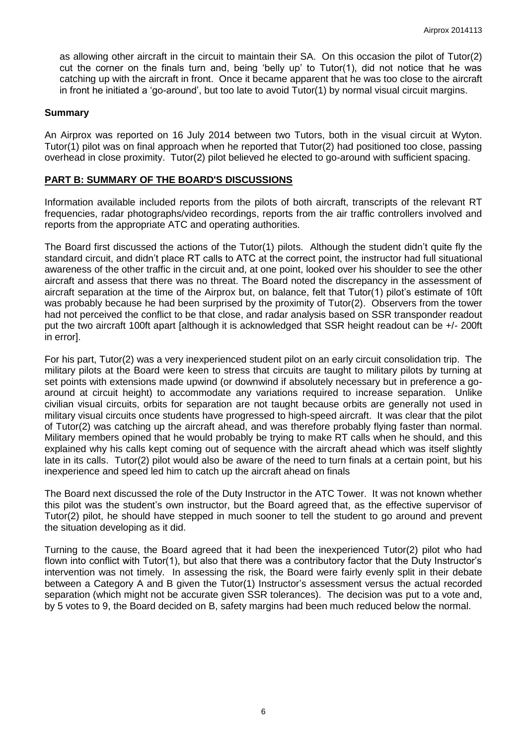as allowing other aircraft in the circuit to maintain their SA. On this occasion the pilot of Tutor(2) cut the corner on the finals turn and, being 'belly up' to Tutor(1), did not notice that he was catching up with the aircraft in front. Once it became apparent that he was too close to the aircraft in front he initiated a 'go-around', but too late to avoid Tutor(1) by normal visual circuit margins.

### **Summary**

An Airprox was reported on 16 July 2014 between two Tutors, both in the visual circuit at Wyton. Tutor(1) pilot was on final approach when he reported that Tutor(2) had positioned too close, passing overhead in close proximity. Tutor(2) pilot believed he elected to go-around with sufficient spacing.

### **PART B: SUMMARY OF THE BOARD'S DISCUSSIONS**

Information available included reports from the pilots of both aircraft, transcripts of the relevant RT frequencies, radar photographs/video recordings, reports from the air traffic controllers involved and reports from the appropriate ATC and operating authorities.

The Board first discussed the actions of the Tutor(1) pilots. Although the student didn't quite fly the standard circuit, and didn't place RT calls to ATC at the correct point, the instructor had full situational awareness of the other traffic in the circuit and, at one point, looked over his shoulder to see the other aircraft and assess that there was no threat. The Board noted the discrepancy in the assessment of aircraft separation at the time of the Airprox but, on balance, felt that Tutor(1) pilot's estimate of 10ft was probably because he had been surprised by the proximity of Tutor(2). Observers from the tower had not perceived the conflict to be that close, and radar analysis based on SSR transponder readout put the two aircraft 100ft apart [although it is acknowledged that SSR height readout can be +/- 200ft in error].

For his part, Tutor(2) was a very inexperienced student pilot on an early circuit consolidation trip. The military pilots at the Board were keen to stress that circuits are taught to military pilots by turning at set points with extensions made upwind (or downwind if absolutely necessary but in preference a goaround at circuit height) to accommodate any variations required to increase separation. Unlike civilian visual circuits, orbits for separation are not taught because orbits are generally not used in military visual circuits once students have progressed to high-speed aircraft. It was clear that the pilot of Tutor(2) was catching up the aircraft ahead, and was therefore probably flying faster than normal. Military members opined that he would probably be trying to make RT calls when he should, and this explained why his calls kept coming out of sequence with the aircraft ahead which was itself slightly late in its calls. Tutor(2) pilot would also be aware of the need to turn finals at a certain point, but his inexperience and speed led him to catch up the aircraft ahead on finals

The Board next discussed the role of the Duty Instructor in the ATC Tower. It was not known whether this pilot was the student's own instructor, but the Board agreed that, as the effective supervisor of Tutor(2) pilot, he should have stepped in much sooner to tell the student to go around and prevent the situation developing as it did.

Turning to the cause, the Board agreed that it had been the inexperienced Tutor(2) pilot who had flown into conflict with Tutor(1), but also that there was a contributory factor that the Duty Instructor's intervention was not timely. In assessing the risk, the Board were fairly evenly split in their debate between a Category A and B given the Tutor(1) Instructor's assessment versus the actual recorded separation (which might not be accurate given SSR tolerances). The decision was put to a vote and, by 5 votes to 9, the Board decided on B, safety margins had been much reduced below the normal.